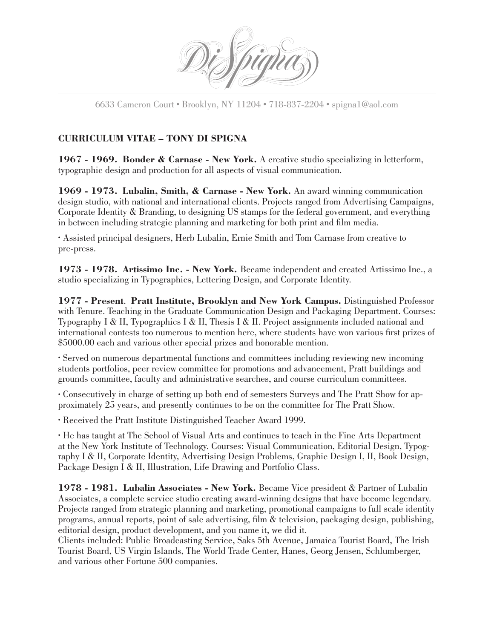

6633 Cameron Court • Brooklyn, NY 11204 • 718-837-2204 • spigna1@aol.com

## **CURRICULUM VITAE – TONY DI SPIGNA**

**1967 - 1969. Bonder & Carnase - New York.** A creative studio specializing in letterform, typographic design and production for all aspects of visual communication.

**1969 - 1973. Lubalin, Smith, & Carnase - New York.** An award winning communication design studio, with national and international clients. Projects ranged from Advertising Campaigns, Corporate Identity & Branding, to designing US stamps for the federal government, and everything in between including strategic planning and marketing for both print and film media.

• Assisted principal designers, Herb Lubalin, Ernie Smith and Tom Carnase from creative to pre-press.

**1973 - 1978. Artissimo Inc. - New York.** Became independent and created Artissimo Inc., a studio specializing in Typographics, Lettering Design, and Corporate Identity.

**1977 - Present**. **Pratt Institute, Brooklyn and New York Campus.** Distinguished Professor with Tenure. Teaching in the Graduate Communication Design and Packaging Department. Courses: Typography I & II, Typographics I & II, Thesis I & II. Project assignments included national and international contests too numerous to mention here, where students have won various first prizes of \$5000.00 each and various other special prizes and honorable mention.

• Served on numerous departmental functions and committees including reviewing new incoming students portfolios, peer review committee for promotions and advancement, Pratt buildings and grounds committee, faculty and administrative searches, and course curriculum committees.

• Consecutively in charge of setting up both end of semesters Surveys and The Pratt Show for approximately 25 years, and presently continues to be on the committee for The Pratt Show.

• Received the Pratt Institute Distinguished Teacher Award 1999.

• He has taught at The School of Visual Arts and continues to teach in the Fine Arts Department at the New York Institute of Technology. Courses: Visual Communication, Editorial Design, Typography I & II, Corporate Identity, Advertising Design Problems, Graphic Design I, II, Book Design, Package Design I & II, Illustration, Life Drawing and Portfolio Class.

**1978 - 1981. Lubalin Associates - New York.** Became Vice president & Partner of Lubalin Associates, a complete service studio creating award-winning designs that have become legendary. Projects ranged from strategic planning and marketing, promotional campaigns to full scale identity programs, annual reports, point of sale advertising, film & television, packaging design, publishing, editorial design, product development, and you name it, we did it.

Clients included: Public Broadcasting Service, Saks 5th Avenue, Jamaica Tourist Board, The Irish Tourist Board, US Virgin Islands, The World Trade Center, Hanes, Georg Jensen, Schlumberger, and various other Fortune 500 companies.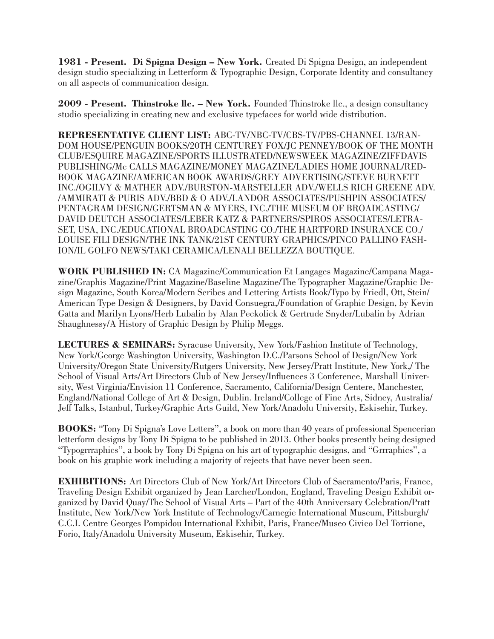**1981 - Present. Di Spigna Design – New York.** Created Di Spigna Design, an independent design studio specializing in Letterform & Typographic Design, Corporate Identity and consultancy on all aspects of communication design.

**2009 - Present. Thinstroke llc. – New York.** Founded Thinstroke llc., a design consultancy studio specializing in creating new and exclusive typefaces for world wide distribution.

**REPRESENTATIVE CLIENT LIST:** ABC-TV/NBC-TV/CBS-TV/PBS-CHANNEL 13/RAN-DOM HOUSE/PENGUIN BOOKS/20TH CENTUREY FOX/JC PENNEY/BOOK OF THE MONTH CLUB/ESQUIRE MAGAZINE/SPORTS ILLUSTRATED/NEWSWEEK MAGAZINE/ZIFFDAVIS PUBLISHING/Mc CALLS MAGAZINE/MONEY MAGAZINE/LADIES HOME JOURNAL/RED-BOOK MAGAZINE/AMERICAN BOOK AWARDS/GREY ADVERTISING/STEVE BURNETT INC./OGILVY & MATHER ADV./BURSTON-MARSTELLER ADV./WELLS RICH GREENE ADV. /AMMIRATI & PURIS ADV./BBD & O ADV./LANDOR ASSOCIATES/PUSHPIN ASSOCIATES/ PENTAGRAM DESIGN/GERTSMAN & MYERS, INC./THE MUSEUM OF BROADCASTING/ DAVID DEUTCH ASSOCIATES/LEBER KATZ & PARTNERS/SPIROS ASSOCIATES/LETRA-SET, USA, INC./EDUCATIONAL BROADCASTING CO./THE HARTFORD INSURANCE CO./ LOUISE FILI DESIGN/THE INK TANK/21ST CENTURY GRAPHICS/PINCO PALLINO FASH-ION/IL GOLFO NEWS/TAKI CERAMICA/LENALI BELLEZZA BOUTIQUE.

**WORK PUBLISHED IN:** CA Magazine/Communication Et Langages Magazine/Campana Magazine/Graphis Magazine/Print Magazine/Baseline Magazine/The Typographer Magazine/Graphic Design Magazine, South Korea/Modern Scribes and Lettering Artists Book/Typo by Friedl, Ott, Stein/ American Type Design & Designers, by David Consuegra,/Foundation of Graphic Design, by Kevin Gatta and Marilyn Lyons/Herb Lubalin by Alan Peckolick & Gertrude Snyder/Lubalin by Adrian Shaughnessy/A History of Graphic Design by Philip Meggs.

**LECTURES & SEMINARS:** Syracuse University, New York/Fashion Institute of Technology, New York/George Washington University, Washington D.C./Parsons School of Design/New York University/Oregon State University/Rutgers University, New Jersey/Pratt Institute, New York,/ The School of Visual Arts/Art Directors Club of New Jersey/Influences 3 Conference, Marshall University, West Virginia/Envision 11 Conference, Sacramento, California/Design Centere, Manchester, England/National College of Art & Design, Dublin. Ireland/College of Fine Arts, Sidney, Australia/ Jeff Talks, Istanbul, Turkey/Graphic Arts Guild, New York/Anadolu University, Eskisehir, Turkey.

**BOOKS:** "Tony Di Spigna's Love Letters", a book on more than 40 years of professional Spencerian letterform designs by Tony Di Spigna to be published in 2013. Other books presently being designed "Typogrrraphics", a book by Tony Di Spigna on his art of typographic designs, and "Grrraphics", a book on his graphic work including a majority of rejects that have never been seen.

**EXHIBITIONS:** Art Directors Club of New York/Art Directors Club of Sacramento/Paris, France, Traveling Design Exhibit organized by Jean Larcher/London, England, Traveling Design Exhibit organized by David Quay/The School of Visual Arts – Part of the 40th Anniversary Celebration/Pratt Institute, New York/New York Institute of Technology/Carnegie International Museum, Pittsburgh/ C.C.I. Centre Georges Pompidou International Exhibit, Paris, France/Museo Civico Del Torrione, Forio, Italy/Anadolu University Museum, Eskisehir, Turkey.